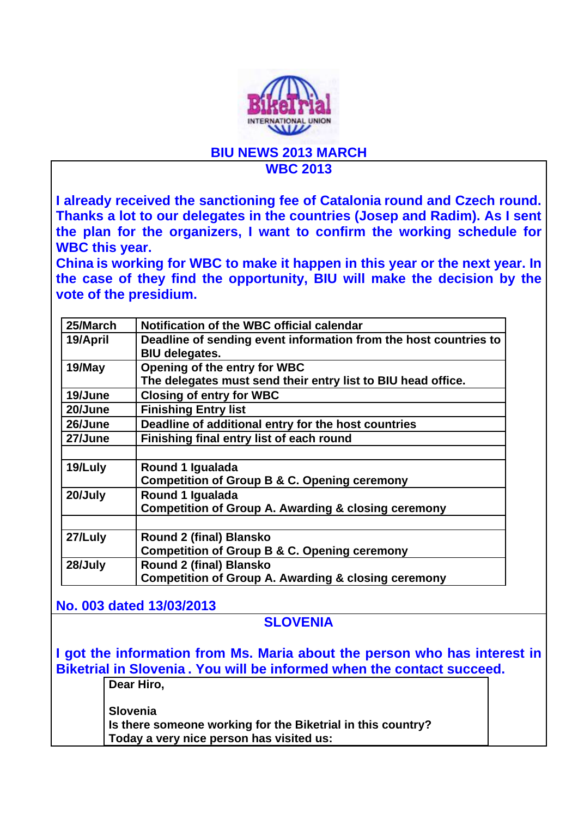

## **BIU NEWS 2013 MARCH WBC 2013**

**I already received the sanctioning fee of Catalonia round and Czech round. Thanks a lot to our delegates in the countries (Josep and Radim). As I sent the plan for the organizers, I want to confirm the working schedule for WBC this year.** 

**China is working for WBC to make it happen in this year or the next year. In the case of they find the opportunity, BIU will make the decision by the vote of the presidium.** 

| 25/March | Notification of the WBC official calendar                        |
|----------|------------------------------------------------------------------|
| 19/April | Deadline of sending event information from the host countries to |
|          | <b>BIU delegates.</b>                                            |
| 19/May   | Opening of the entry for WBC                                     |
|          | The delegates must send their entry list to BIU head office.     |
| 19/June  | <b>Closing of entry for WBC</b>                                  |
| 20/June  | <b>Finishing Entry list</b>                                      |
| 26/June  | Deadline of additional entry for the host countries              |
| 27/June  | Finishing final entry list of each round                         |
|          |                                                                  |
| 19/Luly  | Round 1 Igualada                                                 |
|          | Competition of Group B & C. Opening ceremony                     |
| 20/July  | Round 1 Igualada                                                 |
|          | <b>Competition of Group A. Awarding &amp; closing ceremony</b>   |
|          |                                                                  |
| 27/Luly  | <b>Round 2 (final) Blansko</b>                                   |
|          | <b>Competition of Group B &amp; C. Opening ceremony</b>          |
| 28/July  | Round 2 (final) Blansko                                          |
|          | <b>Competition of Group A. Awarding &amp; closing ceremony</b>   |
|          |                                                                  |

**No. 003 dated 13/03/2013**

**Dear Hiro,** 

## **SLOVENIA**

**I got the information from Ms. Maria about the person who has interest in Biketrial in Slovenia . You will be informed when the contact succeed.** 

> **Slovenia Is there someone working for the Biketrial in this country? Today a very nice person has visited us:**